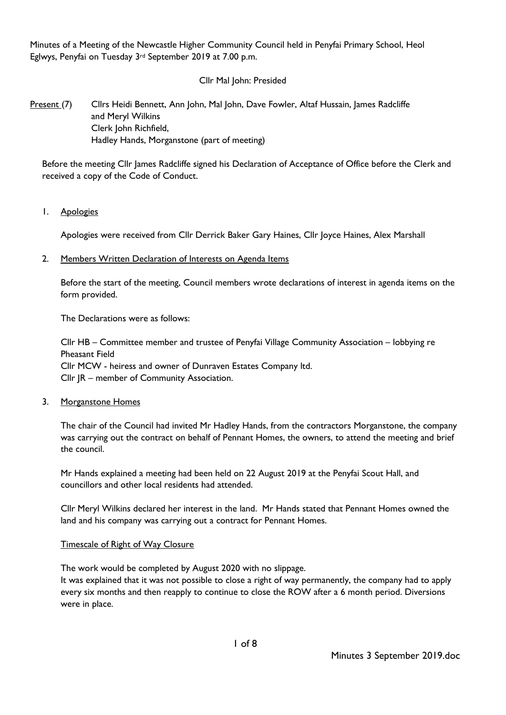Minutes of a Meeting of the Newcastle Higher Community Council held in Penyfai Primary School, Heol Eglwys, Penyfai on Tuesday 3rd September 2019 at 7.00 p.m.

# Cllr Mal John: Presided

# Present (7) Cllrs Heidi Bennett, Ann John, Mal John, Dave Fowler, Altaf Hussain, James Radcliffe and Meryl Wilkins Clerk John Richfield, Hadley Hands, Morganstone (part of meeting)

Before the meeting Cllr James Radcliffe signed his Declaration of Acceptance of Office before the Clerk and received a copy of the Code of Conduct.

1. Apologies

Apologies were received from Cllr Derrick Baker Gary Haines, Cllr Joyce Haines, Alex Marshall

2. Members Written Declaration of Interests on Agenda Items

Before the start of the meeting, Council members wrote declarations of interest in agenda items on the form provided.

The Declarations were as follows:

Cllr HB – Committee member and trustee of Penyfai Village Community Association – lobbying re Pheasant Field Cllr MCW - heiress and owner of Dunraven Estates Company ltd. Cllr JR – member of Community Association.

#### 3. Morganstone Homes

The chair of the Council had invited Mr Hadley Hands, from the contractors Morganstone, the company was carrying out the contract on behalf of Pennant Homes, the owners, to attend the meeting and brief the council.

Mr Hands explained a meeting had been held on 22 August 2019 at the Penyfai Scout Hall, and councillors and other local residents had attended.

Cllr Meryl Wilkins declared her interest in the land. Mr Hands stated that Pennant Homes owned the land and his company was carrying out a contract for Pennant Homes.

#### Timescale of Right of Way Closure

The work would be completed by August 2020 with no slippage.

It was explained that it was not possible to close a right of way permanently, the company had to apply every six months and then reapply to continue to close the ROW after a 6 month period. Diversions were in place.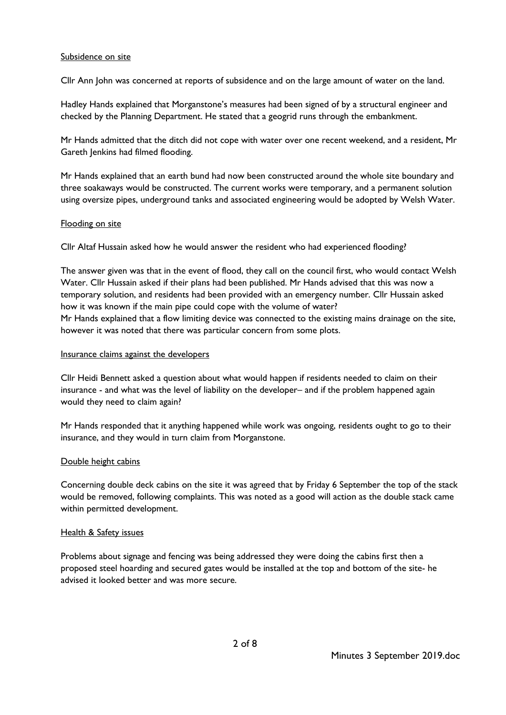### Subsidence on site

Cllr Ann John was concerned at reports of subsidence and on the large amount of water on the land.

Hadley Hands explained that Morganstone's measures had been signed of by a structural engineer and checked by the Planning Department. He stated that a geogrid runs through the embankment.

Mr Hands admitted that the ditch did not cope with water over one recent weekend, and a resident, Mr Gareth Jenkins had filmed flooding.

Mr Hands explained that an earth bund had now been constructed around the whole site boundary and three soakaways would be constructed. The current works were temporary, and a permanent solution using oversize pipes, underground tanks and associated engineering would be adopted by Welsh Water.

### Flooding on site

Cllr Altaf Hussain asked how he would answer the resident who had experienced flooding?

The answer given was that in the event of flood, they call on the council first, who would contact Welsh Water. Cllr Hussain asked if their plans had been published. Mr Hands advised that this was now a temporary solution, and residents had been provided with an emergency number. Cllr Hussain asked how it was known if the main pipe could cope with the volume of water? Mr Hands explained that a flow limiting device was connected to the existing mains drainage on the site, however it was noted that there was particular concern from some plots.

#### Insurance claims against the developers

Cllr Heidi Bennett asked a question about what would happen if residents needed to claim on their insurance - and what was the level of liability on the developer– and if the problem happened again would they need to claim again?

Mr Hands responded that it anything happened while work was ongoing, residents ought to go to their insurance, and they would in turn claim from Morganstone.

# Double height cabins

Concerning double deck cabins on the site it was agreed that by Friday 6 September the top of the stack would be removed, following complaints. This was noted as a good will action as the double stack came within permitted development.

#### Health & Safety issues

Problems about signage and fencing was being addressed they were doing the cabins first then a proposed steel hoarding and secured gates would be installed at the top and bottom of the site- he advised it looked better and was more secure.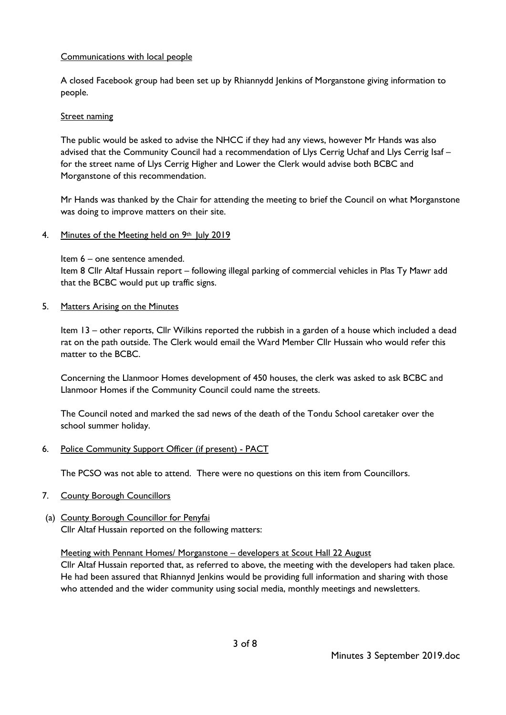# Communications with local people

A closed Facebook group had been set up by Rhiannydd Jenkins of Morganstone giving information to people.

# Street naming

The public would be asked to advise the NHCC if they had any views, however Mr Hands was also advised that the Community Council had a recommendation of Llys Cerrig Uchaf and Llys Cerrig Isaf – for the street name of Llys Cerrig Higher and Lower the Clerk would advise both BCBC and Morganstone of this recommendation.

Mr Hands was thanked by the Chair for attending the meeting to brief the Council on what Morganstone was doing to improve matters on their site.

4. Minutes of the Meeting held on 9th July 2019

Item 6 – one sentence amended.

Item 8 Cllr Altaf Hussain report – following illegal parking of commercial vehicles in Plas Ty Mawr add that the BCBC would put up traffic signs.

5. Matters Arising on the Minutes

Item 13 – other reports, Cllr Wilkins reported the rubbish in a garden of a house which included a dead rat on the path outside. The Clerk would email the Ward Member Cllr Hussain who would refer this matter to the BCBC.

Concerning the Llanmoor Homes development of 450 houses, the clerk was asked to ask BCBC and Llanmoor Homes if the Community Council could name the streets.

The Council noted and marked the sad news of the death of the Tondu School caretaker over the school summer holiday.

6. Police Community Support Officer (if present) - PACT

The PCSO was not able to attend. There were no questions on this item from Councillors.

- 7. County Borough Councillors
- (a) County Borough Councillor for Penyfai Cllr Altaf Hussain reported on the following matters:

Meeting with Pennant Homes/ Morganstone – developers at Scout Hall 22 August

Cllr Altaf Hussain reported that, as referred to above, the meeting with the developers had taken place. He had been assured that Rhiannyd Jenkins would be providing full information and sharing with those who attended and the wider community using social media, monthly meetings and newsletters.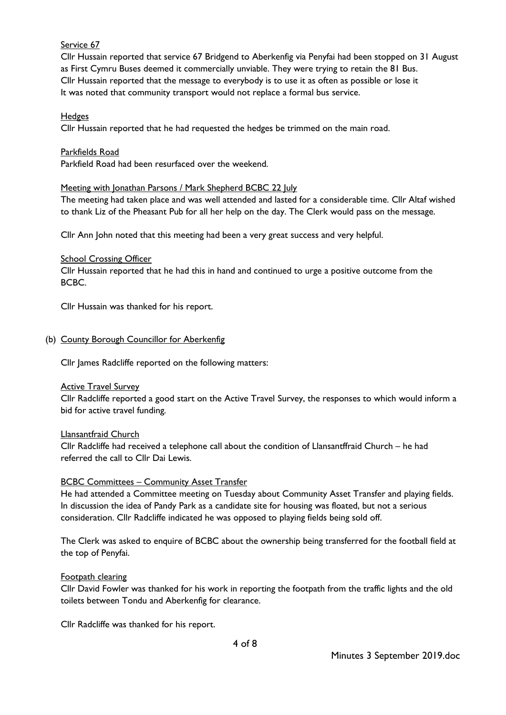# Service 67

Cllr Hussain reported that service 67 Bridgend to Aberkenfig via Penyfai had been stopped on 31 August as First Cymru Buses deemed it commercially unviable. They were trying to retain the 81 Bus. Cllr Hussain reported that the message to everybody is to use it as often as possible or lose it It was noted that community transport would not replace a formal bus service.

### **Hedges**

Cllr Hussain reported that he had requested the hedges be trimmed on the main road.

#### Parkfields Road

Parkfield Road had been resurfaced over the weekend.

### Meeting with Jonathan Parsons / Mark Shepherd BCBC 22 July

The meeting had taken place and was well attended and lasted for a considerable time. Cllr Altaf wished to thank Liz of the Pheasant Pub for all her help on the day. The Clerk would pass on the message.

Cllr Ann John noted that this meeting had been a very great success and very helpful.

### School Crossing Officer

Cllr Hussain reported that he had this in hand and continued to urge a positive outcome from the BCBC.

Cllr Hussain was thanked for his report.

### (b) County Borough Councillor for Aberkenfig

Cllr James Radcliffe reported on the following matters:

#### Active Travel Survey

Cllr Radcliffe reported a good start on the Active Travel Survey, the responses to which would inform a bid for active travel funding.

#### Llansantfraid Church

Cllr Radcliffe had received a telephone call about the condition of Llansantffraid Church – he had referred the call to Cllr Dai Lewis.

# **BCBC Committees – Community Asset Transfer**

He had attended a Committee meeting on Tuesday about Community Asset Transfer and playing fields. In discussion the idea of Pandy Park as a candidate site for housing was floated, but not a serious consideration. Cllr Radcliffe indicated he was opposed to playing fields being sold off.

The Clerk was asked to enquire of BCBC about the ownership being transferred for the football field at the top of Penyfai.

#### Footpath clearing

Cllr David Fowler was thanked for his work in reporting the footpath from the traffic lights and the old toilets between Tondu and Aberkenfig for clearance.

Cllr Radcliffe was thanked for his report.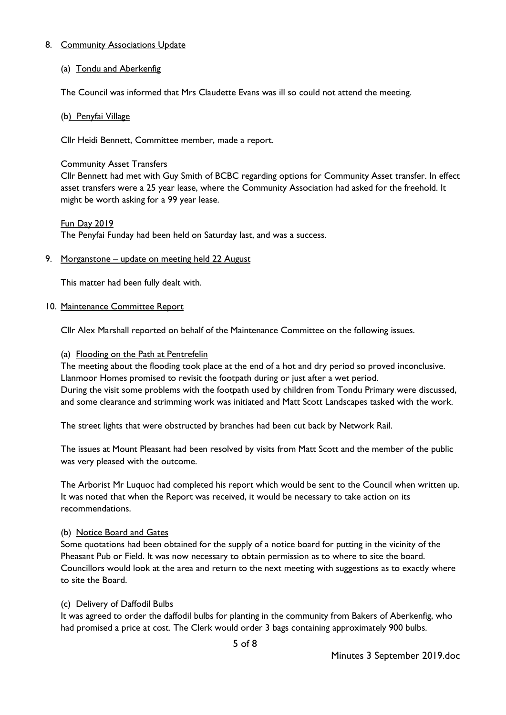# 8. Community Associations Update

# (a) Tondu and Aberkenfig

The Council was informed that Mrs Claudette Evans was ill so could not attend the meeting.

# (b) Penyfai Village

Cllr Heidi Bennett, Committee member, made a report.

### Community Asset Transfers

Cllr Bennett had met with Guy Smith of BCBC regarding options for Community Asset transfer. In effect asset transfers were a 25 year lease, where the Community Association had asked for the freehold. It might be worth asking for a 99 year lease.

# Fun Day 2019

The Penyfai Funday had been held on Saturday last, and was a success.

# 9. Morganstone – update on meeting held 22 August

This matter had been fully dealt with.

### 10. Maintenance Committee Report

Cllr Alex Marshall reported on behalf of the Maintenance Committee on the following issues.

### (a) Flooding on the Path at Pentrefelin

The meeting about the flooding took place at the end of a hot and dry period so proved inconclusive. Llanmoor Homes promised to revisit the footpath during or just after a wet period. During the visit some problems with the footpath used by children from Tondu Primary were discussed, and some clearance and strimming work was initiated and Matt Scott Landscapes tasked with the work.

The street lights that were obstructed by branches had been cut back by Network Rail.

The issues at Mount Pleasant had been resolved by visits from Matt Scott and the member of the public was very pleased with the outcome.

The Arborist Mr Luquoc had completed his report which would be sent to the Council when written up. It was noted that when the Report was received, it would be necessary to take action on its recommendations.

# (b) Notice Board and Gates

Some quotations had been obtained for the supply of a notice board for putting in the vicinity of the Pheasant Pub or Field. It was now necessary to obtain permission as to where to site the board. Councillors would look at the area and return to the next meeting with suggestions as to exactly where to site the Board.

# (c) Delivery of Daffodil Bulbs

It was agreed to order the daffodil bulbs for planting in the community from Bakers of Aberkenfig, who had promised a price at cost. The Clerk would order 3 bags containing approximately 900 bulbs.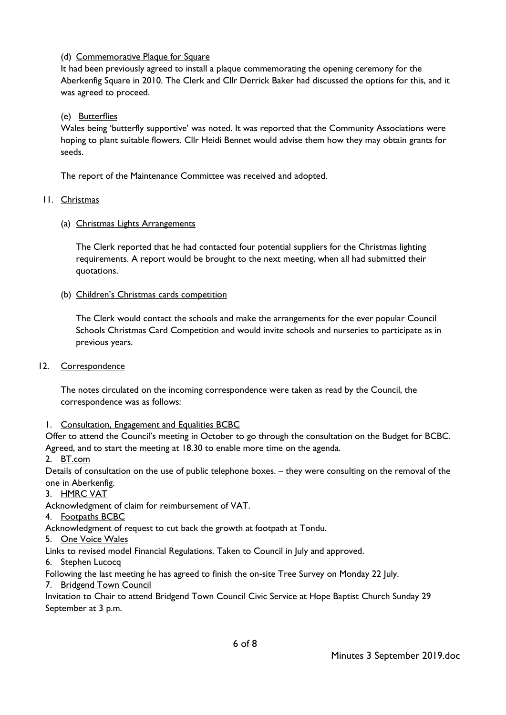# (d) Commemorative Plaque for Square

It had been previously agreed to install a plaque commemorating the opening ceremony for the Aberkenfig Square in 2010. The Clerk and Cllr Derrick Baker had discussed the options for this, and it was agreed to proceed.

# (e) Butterflies

Wales being 'butterfly supportive' was noted. It was reported that the Community Associations were hoping to plant suitable flowers. Cllr Heidi Bennet would advise them how they may obtain grants for seeds.

The report of the Maintenance Committee was received and adopted.

# 11. Christmas

# (a) Christmas Lights Arrangements

The Clerk reported that he had contacted four potential suppliers for the Christmas lighting requirements. A report would be brought to the next meeting, when all had submitted their quotations.

### (b) Children's Christmas cards competition

The Clerk would contact the schools and make the arrangements for the ever popular Council Schools Christmas Card Competition and would invite schools and nurseries to participate as in previous years.

# 12. Correspondence

The notes circulated on the incoming correspondence were taken as read by the Council, the correspondence was as follows:

# 1. Consultation, Engagement and Equalities BCBC

Offer to attend the Council's meeting in October to go through the consultation on the Budget for BCBC. Agreed, and to start the meeting at 18.30 to enable more time on the agenda.

2. BT.com

Details of consultation on the use of public telephone boxes. – they were consulting on the removal of the one in Aberkenfig.

3. HMRC VAT

Acknowledgment of claim for reimbursement of VAT.

4. Footpaths BCBC

Acknowledgment of request to cut back the growth at footpath at Tondu.

5. One Voice Wales

Links to revised model Financial Regulations. Taken to Council in July and approved.

6. Stephen Lucocq

Following the last meeting he has agreed to finish the on-site Tree Survey on Monday 22 July.

7. Bridgend Town Council

Invitation to Chair to attend Bridgend Town Council Civic Service at Hope Baptist Church Sunday 29 September at 3 p.m.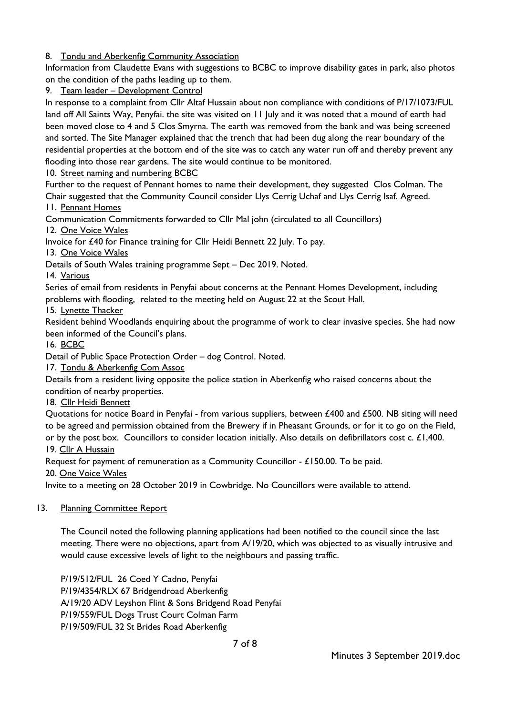# 8. Tondu and Aberkenfig Community Association

Information from Claudette Evans with suggestions to BCBC to improve disability gates in park, also photos on the condition of the paths leading up to them.

9. Team leader - Development Control

In response to a complaint from Cllr Altaf Hussain about non compliance with conditions of P/17/1073/FUL land off All Saints Way, Penyfai. the site was visited on 11 July and it was noted that a mound of earth had been moved close to 4 and 5 Clos Smyrna. The earth was removed from the bank and was being screened and sorted. The Site Manager explained that the trench that had been dug along the rear boundary of the residential properties at the bottom end of the site was to catch any water run off and thereby prevent any flooding into those rear gardens. The site would continue to be monitored.

# 10. Street naming and numbering BCBC

Further to the request of Pennant homes to name their development, they suggested Clos Colman. The Chair suggested that the Community Council consider Llys Cerrig Uchaf and Llys Cerrig Isaf. Agreed.

11. Pennant Homes

Communication Commitments forwarded to Cllr Mal john (circulated to all Councillors)

12. One Voice Wales

Invoice for £40 for Finance training for Cllr Heidi Bennett 22 July. To pay.

13. One Voice Wales

Details of South Wales training programme Sept – Dec 2019. Noted.

14. Various

Series of email from residents in Penyfai about concerns at the Pennant Homes Development, including problems with flooding, related to the meeting held on August 22 at the Scout Hall.

15. Lynette Thacker

Resident behind Woodlands enquiring about the programme of work to clear invasive species. She had now been informed of the Council's plans.

16. BCBC

Detail of Public Space Protection Order – dog Control. Noted.

17. Tondu & Aberkenfig Com Assoc

Details from a resident living opposite the police station in Aberkenfig who raised concerns about the condition of nearby properties.

18. Cllr Heidi Bennett

Quotations for notice Board in Penyfai - from various suppliers, between £400 and £500. NB siting will need to be agreed and permission obtained from the Brewery if in Pheasant Grounds, or for it to go on the Field, or by the post box. Councillors to consider location initially. Also details on defibrillators cost c. £1,400. 19. Cllr A Hussain

Request for payment of remuneration as a Community Councillor - £150.00. To be paid.

20. One Voice Wales

Invite to a meeting on 28 October 2019 in Cowbridge. No Councillors were available to attend.

# 13. Planning Committee Report

The Council noted the following planning applications had been notified to the council since the last meeting. There were no objections, apart from A/19/20, which was objected to as visually intrusive and would cause excessive levels of light to the neighbours and passing traffic.

P/19/512/FUL 26 Coed Y Cadno, Penyfai P/19/4354/RLX 67 Bridgendroad Aberkenfig A/19/20 ADV Leyshon Flint & Sons Bridgend Road Penyfai P/19/559/FUL Dogs Trust Court Colman Farm P/19/509/FUL 32 St Brides Road Aberkenfig